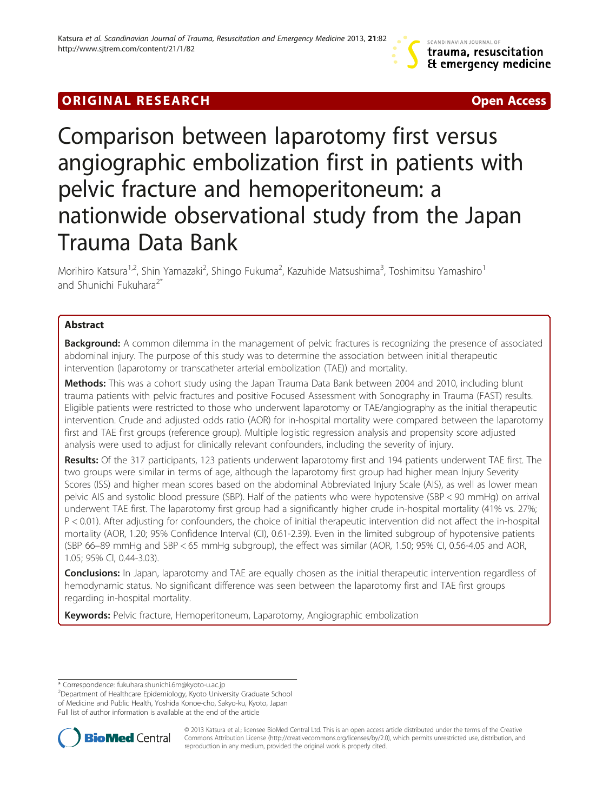# **ORIGINAL RESEARCH CHARGE ACCESS**



# Comparison between laparotomy first versus angiographic embolization first in patients with pelvic fracture and hemoperitoneum: a nationwide observational study from the Japan Trauma Data Bank

Morihiro Katsura<sup>1,2</sup>, Shin Yamazaki<sup>2</sup>, Shingo Fukuma<sup>2</sup>, Kazuhide Matsushima<sup>3</sup>, Toshimitsu Yamashiro<sup>1</sup> and Shunichi Fukuhara<sup>2</sup>

# Abstract

Background: A common dilemma in the management of pelvic fractures is recognizing the presence of associated abdominal injury. The purpose of this study was to determine the association between initial therapeutic intervention (laparotomy or transcatheter arterial embolization (TAE)) and mortality.

Methods: This was a cohort study using the Japan Trauma Data Bank between 2004 and 2010, including blunt trauma patients with pelvic fractures and positive Focused Assessment with Sonography in Trauma (FAST) results. Eligible patients were restricted to those who underwent laparotomy or TAE/angiography as the initial therapeutic intervention. Crude and adjusted odds ratio (AOR) for in-hospital mortality were compared between the laparotomy first and TAE first groups (reference group). Multiple logistic regression analysis and propensity score adjusted analysis were used to adjust for clinically relevant confounders, including the severity of injury.

Results: Of the 317 participants, 123 patients underwent laparotomy first and 194 patients underwent TAE first. The two groups were similar in terms of age, although the laparotomy first group had higher mean Injury Severity Scores (ISS) and higher mean scores based on the abdominal Abbreviated Injury Scale (AIS), as well as lower mean pelvic AIS and systolic blood pressure (SBP). Half of the patients who were hypotensive (SBP < 90 mmHg) on arrival underwent TAE first. The laparotomy first group had a significantly higher crude in-hospital mortality (41% vs. 27%; P < 0.01). After adjusting for confounders, the choice of initial therapeutic intervention did not affect the in-hospital mortality (AOR, 1.20; 95% Confidence Interval (CI), 0.61-2.39). Even in the limited subgroup of hypotensive patients (SBP 66–89 mmHg and SBP < 65 mmHg subgroup), the effect was similar (AOR, 1.50; 95% CI, 0.56-4.05 and AOR, 1.05; 95% CI, 0.44-3.03).

Conclusions: In Japan, laparotomy and TAE are equally chosen as the initial therapeutic intervention regardless of hemodynamic status. No significant difference was seen between the laparotomy first and TAE first groups regarding in-hospital mortality.

Keywords: Pelvic fracture, Hemoperitoneum, Laparotomy, Angiographic embolization

<sup>2</sup>Department of Healthcare Epidemiology, Kyoto University Graduate School of Medicine and Public Health, Yoshida Konoe-cho, Sakyo-ku, Kyoto, Japan Full list of author information is available at the end of the article



© 2013 Katsura et al.; licensee BioMed Central Ltd. This is an open access article distributed under the terms of the Creative Commons Attribution License [\(http://creativecommons.org/licenses/by/2.0\)](http://creativecommons.org/licenses/by/2.0), which permits unrestricted use, distribution, and reproduction in any medium, provided the original work is properly cited.

<sup>\*</sup> Correspondence: [fukuhara.shunichi.6m@kyoto-u.ac.jp](mailto:fukuhara.shunichi.6m@kyoto-u.ac.jp) <sup>2</sup>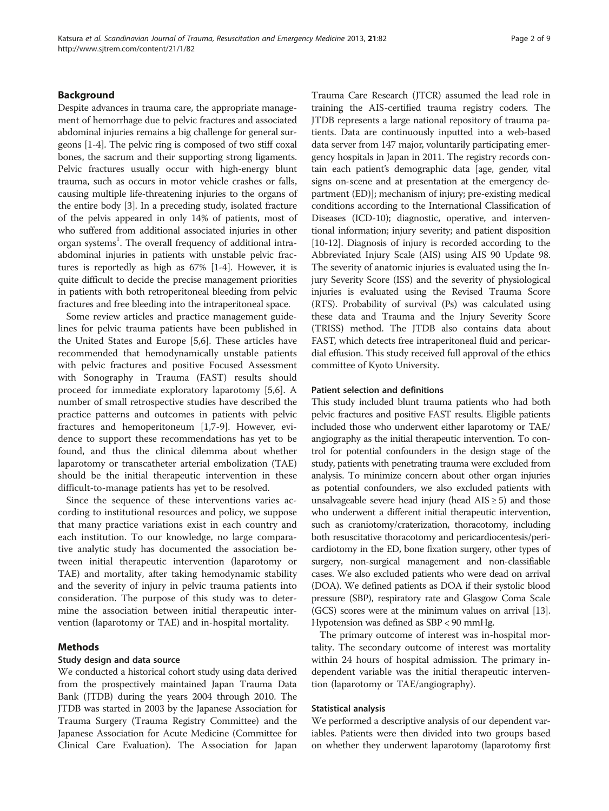# Background

Despite advances in trauma care, the appropriate management of hemorrhage due to pelvic fractures and associated abdominal injuries remains a big challenge for general surgeons [[1](#page-7-0)[-4\]](#page-8-0). The pelvic ring is composed of two stiff coxal bones, the sacrum and their supporting strong ligaments. Pelvic fractures usually occur with high-energy blunt trauma, such as occurs in motor vehicle crashes or falls, causing multiple life-threatening injuries to the organs of the entire body [\[3](#page-8-0)]. In a preceding study, isolated fracture of the pelvis appeared in only 14% of patients, most of who suffered from additional associated injuries in other organ systems<sup>1</sup>. The overall frequency of additional intraabdominal injuries in patients with unstable pelvic fractures is reportedly as high as 67% [\[1](#page-7-0)-[4](#page-8-0)]. However, it is quite difficult to decide the precise management priorities in patients with both retroperitoneal bleeding from pelvic fractures and free bleeding into the intraperitoneal space.

Some review articles and practice management guidelines for pelvic trauma patients have been published in the United States and Europe [\[5,6](#page-8-0)]. These articles have recommended that hemodynamically unstable patients with pelvic fractures and positive Focused Assessment with Sonography in Trauma (FAST) results should proceed for immediate exploratory laparotomy [[5,6\]](#page-8-0). A number of small retrospective studies have described the practice patterns and outcomes in patients with pelvic fractures and hemoperitoneum [\[1](#page-7-0)[,7](#page-8-0)-[9\]](#page-8-0). However, evidence to support these recommendations has yet to be found, and thus the clinical dilemma about whether laparotomy or transcatheter arterial embolization (TAE) should be the initial therapeutic intervention in these difficult-to-manage patients has yet to be resolved.

Since the sequence of these interventions varies according to institutional resources and policy, we suppose that many practice variations exist in each country and each institution. To our knowledge, no large comparative analytic study has documented the association between initial therapeutic intervention (laparotomy or TAE) and mortality, after taking hemodynamic stability and the severity of injury in pelvic trauma patients into consideration. The purpose of this study was to determine the association between initial therapeutic intervention (laparotomy or TAE) and in-hospital mortality.

## Methods

# Study design and data source

We conducted a historical cohort study using data derived from the prospectively maintained Japan Trauma Data Bank (JTDB) during the years 2004 through 2010. The JTDB was started in 2003 by the Japanese Association for Trauma Surgery (Trauma Registry Committee) and the Japanese Association for Acute Medicine (Committee for Clinical Care Evaluation). The Association for Japan Trauma Care Research (JTCR) assumed the lead role in training the AIS-certified trauma registry coders. The JTDB represents a large national repository of trauma patients. Data are continuously inputted into a web-based data server from 147 major, voluntarily participating emergency hospitals in Japan in 2011. The registry records contain each patient's demographic data [age, gender, vital signs on-scene and at presentation at the emergency department (ED)]; mechanism of injury; pre-existing medical conditions according to the International Classification of Diseases (ICD-10); diagnostic, operative, and interventional information; injury severity; and patient disposition [[10](#page-8-0)-[12\]](#page-8-0). Diagnosis of injury is recorded according to the Abbreviated Injury Scale (AIS) using AIS 90 Update 98. The severity of anatomic injuries is evaluated using the Injury Severity Score (ISS) and the severity of physiological injuries is evaluated using the Revised Trauma Score (RTS). Probability of survival (Ps) was calculated using these data and Trauma and the Injury Severity Score (TRISS) method. The JTDB also contains data about FAST, which detects free intraperitoneal fluid and pericardial effusion. This study received full approval of the ethics committee of Kyoto University.

# Patient selection and definitions

This study included blunt trauma patients who had both pelvic fractures and positive FAST results. Eligible patients included those who underwent either laparotomy or TAE/ angiography as the initial therapeutic intervention. To control for potential confounders in the design stage of the study, patients with penetrating trauma were excluded from analysis. To minimize concern about other organ injuries as potential confounders, we also excluded patients with unsalvageable severe head injury (head  $AIS \ge 5$ ) and those who underwent a different initial therapeutic intervention, such as craniotomy/craterization, thoracotomy, including both resuscitative thoracotomy and pericardiocentesis/pericardiotomy in the ED, bone fixation surgery, other types of surgery, non-surgical management and non-classifiable cases. We also excluded patients who were dead on arrival (DOA). We defined patients as DOA if their systolic blood pressure (SBP), respiratory rate and Glasgow Coma Scale (GCS) scores were at the minimum values on arrival [\[13](#page-8-0)]. Hypotension was defined as SBP < 90 mmHg.

The primary outcome of interest was in-hospital mortality. The secondary outcome of interest was mortality within 24 hours of hospital admission. The primary independent variable was the initial therapeutic intervention (laparotomy or TAE/angiography).

## Statistical analysis

We performed a descriptive analysis of our dependent variables. Patients were then divided into two groups based on whether they underwent laparotomy (laparotomy first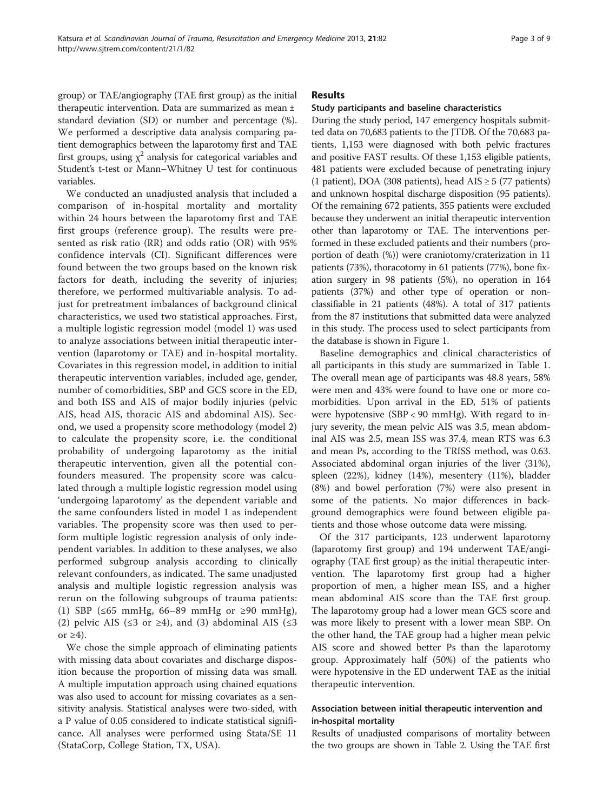group) or TAE/angiography (TAE first group) as the initial therapeutic intervention. Data are summarized as mean ± standard deviation (SD) or number and percentage (%). We performed a descriptive data analysis comparing patient demographics between the laparotomy first and TAE first groups, using  $\chi^2$  analysis for categorical variables and Student's t-test or Mann–Whitney U test for continuous variables.

We conducted an unadjusted analysis that included a comparison of in-hospital mortality and mortality within 24 hours between the laparotomy first and TAE first groups (reference group). The results were presented as risk ratio (RR) and odds ratio (OR) with 95% confidence intervals (CI). Significant differences were found between the two groups based on the known risk factors for death, including the severity of injuries; therefore, we performed multivariable analysis. To adjust for pretreatment imbalances of background clinical characteristics, we used two statistical approaches. First, a multiple logistic regression model (model 1) was used to analyze associations between initial therapeutic intervention (laparotomy or TAE) and in-hospital mortality. Covariates in this regression model, in addition to initial therapeutic intervention variables, included age, gender, number of comorbidities, SBP and GCS score in the ED, and both ISS and AIS of major bodily injuries (pelvic AIS, head AIS, thoracic AIS and abdominal AIS). Second, we used a propensity score methodology (model 2) to calculate the propensity score, i.e. the conditional probability of undergoing laparotomy as the initial therapeutic intervention, given all the potential confounders measured. The propensity score was calculated through a multiple logistic regression model using 'undergoing laparotomy' as the dependent variable and the same confounders listed in model 1 as independent variables. The propensity score was then used to perform multiple logistic regression analysis of only independent variables. In addition to these analyses, we also performed subgroup analysis according to clinically relevant confounders, as indicated. The same unadjusted analysis and multiple logistic regression analysis was rerun on the following subgroups of trauma patients: (1) SBP (≤65 mmHg, 66–89 mmHg or ≥90 mmHg), (2) pelvic AIS ( $\leq$ 3 or  $\geq$ 4), and (3) abdominal AIS ( $\leq$ 3 or ≥4).

We chose the simple approach of eliminating patients with missing data about covariates and discharge disposition because the proportion of missing data was small. A multiple imputation approach using chained equations was also used to account for missing covariates as a sensitivity analysis. Statistical analyses were two-sided, with a P value of 0.05 considered to indicate statistical significance. All analyses were performed using Stata/SE 11 (StataCorp, College Station, TX, USA).

# **Results**

# Study participants and baseline characteristics

During the study period, 147 emergency hospitals submitted data on 70,683 patients to the JTDB. Of the 70,683 patients, 1,153 were diagnosed with both pelvic fractures and positive FAST results. Of these 1,153 eligible patients, 481 patients were excluded because of penetrating injury (1 patient), DOA (308 patients), head  $AIS \ge 5$  (77 patients) and unknown hospital discharge disposition (95 patients). Of the remaining 672 patients, 355 patients were excluded because they underwent an initial therapeutic intervention other than laparotomy or TAE. The interventions performed in these excluded patients and their numbers (proportion of death (%)) were craniotomy/craterization in 11 patients (73%), thoracotomy in 61 patients (77%), bone fixation surgery in 98 patients (5%), no operation in 164 patients (37%) and other type of operation or nonclassifiable in 21 patients (48%). A total of 317 patients from the 87 institutions that submitted data were analyzed in this study. The process used to select participants from the database is shown in Figure [1](#page-3-0).

Baseline demographics and clinical characteristics of all participants in this study are summarized in Table [1](#page-4-0). The overall mean age of participants was 48.8 years, 58% were men and 43% were found to have one or more comorbidities. Upon arrival in the ED, 51% of patients were hypotensive (SBP < 90 mmHg). With regard to injury severity, the mean pelvic AIS was 3.5, mean abdominal AIS was 2.5, mean ISS was 37.4, mean RTS was 6.3 and mean Ps, according to the TRISS method, was 0.63. Associated abdominal organ injuries of the liver (31%), spleen (22%), kidney (14%), mesentery (11%), bladder (8%) and bowel perforation (7%) were also present in some of the patients. No major differences in background demographics were found between eligible patients and those whose outcome data were missing.

Of the 317 participants, 123 underwent laparotomy (laparotomy first group) and 194 underwent TAE/angiography (TAE first group) as the initial therapeutic intervention. The laparotomy first group had a higher proportion of men, a higher mean ISS, and a higher mean abdominal AIS score than the TAE first group. The laparotomy group had a lower mean GCS score and was more likely to present with a lower mean SBP. On the other hand, the TAE group had a higher mean pelvic AIS score and showed better Ps than the laparotomy group. Approximately half (50%) of the patients who were hypotensive in the ED underwent TAE as the initial therapeutic intervention.

# Association between initial therapeutic intervention and in-hospital mortality

Results of unadjusted comparisons of mortality between the two groups are shown in Table [2.](#page-5-0) Using the TAE first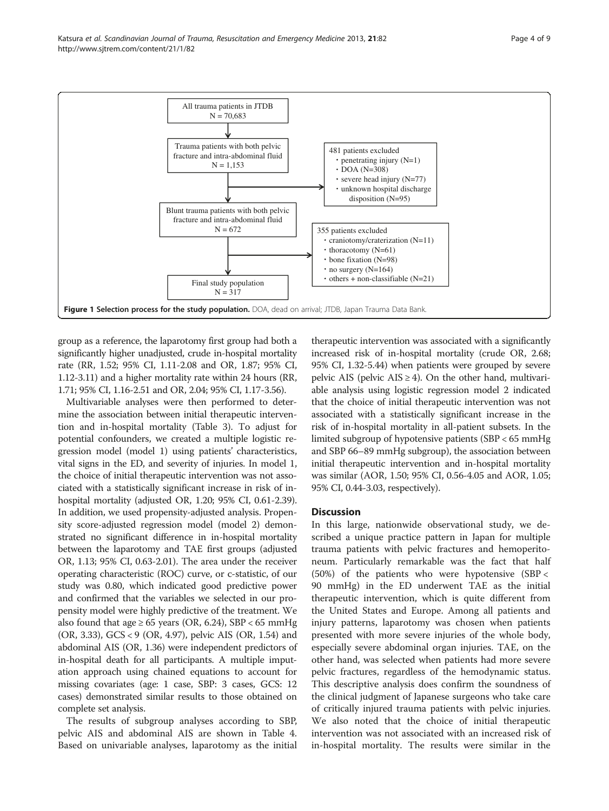<span id="page-3-0"></span>

group as a reference, the laparotomy first group had both a significantly higher unadjusted, crude in-hospital mortality rate (RR, 1.52; 95% CI, 1.11-2.08 and OR, 1.87; 95% CI, 1.12-3.11) and a higher mortality rate within 24 hours (RR, 1.71; 95% CI, 1.16-2.51 and OR, 2.04; 95% CI, 1.17-3.56).

Multivariable analyses were then performed to determine the association between initial therapeutic intervention and in-hospital mortality (Table [3\)](#page-6-0). To adjust for potential confounders, we created a multiple logistic regression model (model 1) using patients' characteristics, vital signs in the ED, and severity of injuries. In model 1, the choice of initial therapeutic intervention was not associated with a statistically significant increase in risk of inhospital mortality (adjusted OR, 1.20; 95% CI, 0.61-2.39). In addition, we used propensity-adjusted analysis. Propensity score-adjusted regression model (model 2) demonstrated no significant difference in in-hospital mortality between the laparotomy and TAE first groups (adjusted OR, 1.13; 95% CI, 0.63-2.01). The area under the receiver operating characteristic (ROC) curve, or c-statistic, of our study was 0.80, which indicated good predictive power and confirmed that the variables we selected in our propensity model were highly predictive of the treatment. We also found that age  $\geq 65$  years (OR, 6.24), SBP < 65 mmHg (OR, 3.33), GCS < 9 (OR, 4.97), pelvic AIS (OR, 1.54) and abdominal AIS (OR, 1.36) were independent predictors of in-hospital death for all participants. A multiple imputation approach using chained equations to account for missing covariates (age: 1 case, SBP: 3 cases, GCS: 12 cases) demonstrated similar results to those obtained on complete set analysis.

The results of subgroup analyses according to SBP, pelvic AIS and abdominal AIS are shown in Table [4](#page-6-0). Based on univariable analyses, laparotomy as the initial

therapeutic intervention was associated with a significantly increased risk of in-hospital mortality (crude OR, 2.68; 95% CI, 1.32-5.44) when patients were grouped by severe pelvic AIS (pelvic AIS  $\geq$  4). On the other hand, multivariable analysis using logistic regression model 2 indicated that the choice of initial therapeutic intervention was not associated with a statistically significant increase in the risk of in-hospital mortality in all-patient subsets. In the limited subgroup of hypotensive patients (SBP < 65 mmHg and SBP 66–89 mmHg subgroup), the association between initial therapeutic intervention and in-hospital mortality was similar (AOR, 1.50; 95% CI, 0.56-4.05 and AOR, 1.05; 95% CI, 0.44-3.03, respectively).

## **Discussion**

In this large, nationwide observational study, we described a unique practice pattern in Japan for multiple trauma patients with pelvic fractures and hemoperitoneum. Particularly remarkable was the fact that half (50%) of the patients who were hypotensive (SBP < 90 mmHg) in the ED underwent TAE as the initial therapeutic intervention, which is quite different from the United States and Europe. Among all patients and injury patterns, laparotomy was chosen when patients presented with more severe injuries of the whole body, especially severe abdominal organ injuries. TAE, on the other hand, was selected when patients had more severe pelvic fractures, regardless of the hemodynamic status. This descriptive analysis does confirm the soundness of the clinical judgment of Japanese surgeons who take care of critically injured trauma patients with pelvic injuries. We also noted that the choice of initial therapeutic intervention was not associated with an increased risk of in-hospital mortality. The results were similar in the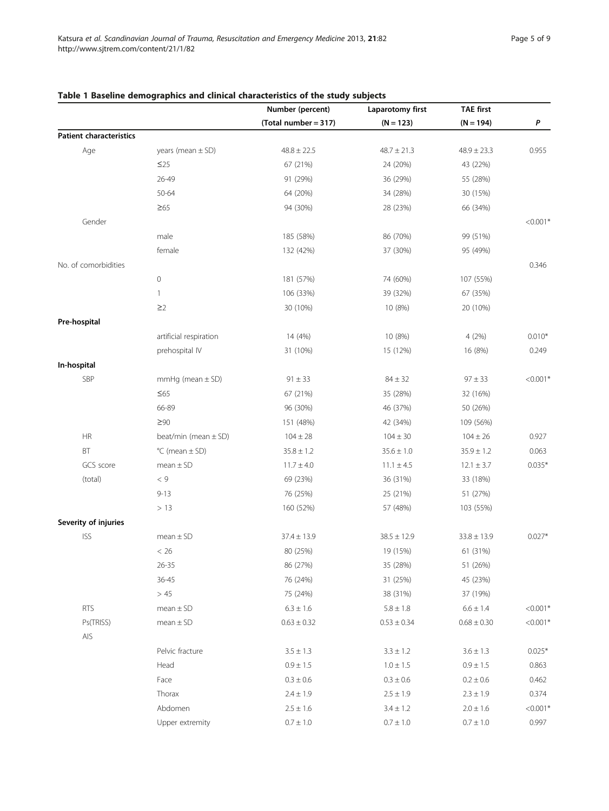|                                |                          | Number (percent)     | Laparotomy first | <b>TAE first</b> |            |
|--------------------------------|--------------------------|----------------------|------------------|------------------|------------|
|                                |                          | (Total number = 317) | $(N = 123)$      | $(N = 194)$      | P          |
| <b>Patient characteristics</b> |                          |                      |                  |                  |            |
| Age                            | years (mean $\pm$ SD)    | $48.8 \pm 22.5$      | $48.7 \pm 21.3$  | $48.9 \pm 23.3$  | 0.955      |
|                                | $\leq$ 25                | 67 (21%)             | 24 (20%)         | 43 (22%)         |            |
|                                | 26-49                    | 91 (29%)             | 36 (29%)         | 55 (28%)         |            |
|                                | 50-64                    | 64 (20%)             | 34 (28%)         | 30 (15%)         |            |
|                                | $\geq 65$                | 94 (30%)             | 28 (23%)         | 66 (34%)         |            |
| Gender                         |                          |                      |                  |                  | $< 0.001*$ |
|                                | male                     | 185 (58%)            | 86 (70%)         | 99 (51%)         |            |
|                                | female                   | 132 (42%)            | 37 (30%)         | 95 (49%)         |            |
| No. of comorbidities           |                          |                      |                  |                  | 0.346      |
|                                | $\mathbf 0$              | 181 (57%)            | 74 (60%)         | 107 (55%)        |            |
|                                | $\mathbf{1}$             | 106 (33%)            | 39 (32%)         | 67 (35%)         |            |
|                                | $\geq$ 2                 | 30 (10%)             | 10 (8%)          | 20 (10%)         |            |
| Pre-hospital                   |                          |                      |                  |                  |            |
|                                | artificial respiration   | 14 (4%)              | 10 (8%)          | 4(2%)            | $0.010*$   |
|                                | prehospital IV           | 31 (10%)             | 15 (12%)         | 16 (8%)          | 0.249      |
| In-hospital                    |                          |                      |                  |                  |            |
| SBP                            | $mmHg$ (mean $\pm$ SD)   | $91 \pm 33$          | $84 \pm 32$      | $97 \pm 33$      | $< 0.001*$ |
|                                | $\leq 65$                | 67 (21%)             | 35 (28%)         | 32 (16%)         |            |
|                                | 66-89                    | 96 (30%)             | 46 (37%)         | 50 (26%)         |            |
|                                | $\geq 90$                | 151 (48%)            | 42 (34%)         | 109 (56%)        |            |
| <b>HR</b>                      | beat/min (mean $\pm$ SD) | $104 \pm 28$         | $104 \pm 30$     | $104 \pm 26$     | 0.927      |
| BT                             | $°C$ (mean $±$ SD)       | $35.8 \pm 1.2$       | $35.6 \pm 1.0$   | $35.9 \pm 1.2$   | 0.063      |
| GCS score                      | $mean \pm SD$            | $11.7 \pm 4.0$       | $11.1 \pm 4.5$   | $12.1 \pm 3.7$   | $0.035*$   |
| (total)                        | $<\,9$                   | 69 (23%)             | 36 (31%)         | 33 (18%)         |            |
|                                | $9 - 13$                 | 76 (25%)             | 25 (21%)         | 51 (27%)         |            |
|                                | > 13                     | 160 (52%)            | 57 (48%)         | 103 (55%)        |            |
| Severity of injuries           |                          |                      |                  |                  |            |
| <b>ISS</b>                     | $mean \pm SD$            | $37.4 \pm 13.9$      | $38.5 \pm 12.9$  | $33.8 \pm 13.9$  | $0.027*$   |
|                                | < 26                     | 80 (25%)             | 19 (15%)         | 61 (31%)         |            |
|                                | $26 - 35$                | 86 (27%)             | 35 (28%)         | 51 (26%)         |            |
|                                | $36 - 45$                | 76 (24%)             | 31 (25%)         | 45 (23%)         |            |
|                                | >45                      | 75 (24%)             | 38 (31%)         | 37 (19%)         |            |
| <b>RTS</b>                     | $mean \pm SD$            | $6.3 \pm 1.6$        | $5.8 \pm 1.8$    | $6.6 \pm 1.4$    | $< 0.001*$ |
| Ps(TRISS)                      | $mean \pm SD$            | $0.63 \pm 0.32$      | $0.53 \pm 0.34$  | $0.68 \pm 0.30$  | $< 0.001*$ |
| AIS                            |                          |                      |                  |                  |            |
|                                | Pelvic fracture          | $3.5 \pm 1.3$        | $3.3 \pm 1.2$    | $3.6 \pm 1.3$    | $0.025*$   |
|                                | Head                     | $0.9 \pm 1.5$        | $1.0 \pm 1.5$    | $0.9 \pm 1.5$    | 0.863      |
|                                | Face                     | $0.3\pm0.6$          | $0.3 \pm 0.6$    | $0.2 \pm 0.6$    | 0.462      |
|                                | Thorax                   | $2.4 \pm 1.9$        | $2.5 \pm 1.9$    | $2.3 \pm 1.9$    | 0.374      |
|                                | Abdomen                  | $2.5 \pm 1.6$        | $3.4 \pm 1.2$    | $2.0 \pm 1.6$    | $< 0.001*$ |
|                                | Upper extremity          | $0.7\pm1.0$          | $0.7\pm1.0$      | $0.7\pm1.0$      | 0.997      |

# <span id="page-4-0"></span>Table 1 Baseline demographics and clinical characteristics of the study subjects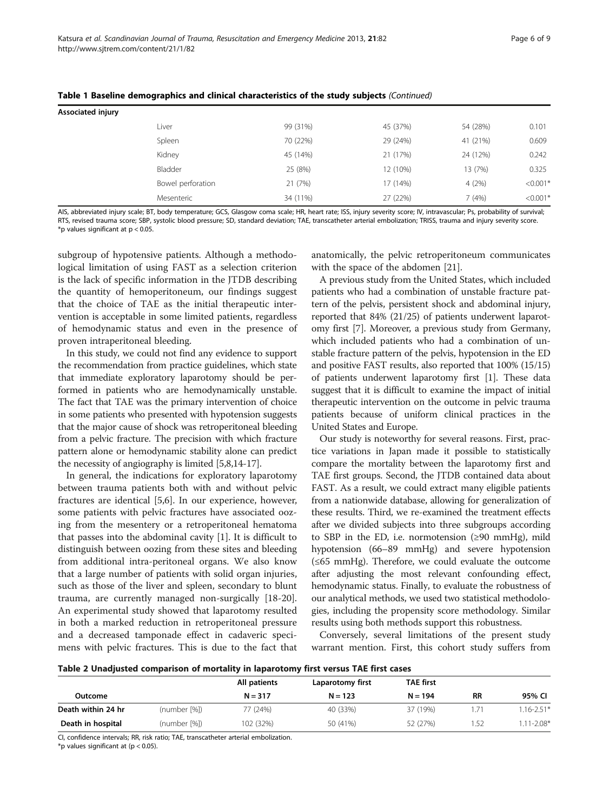| Associated injury |                   |          |          |          |            |
|-------------------|-------------------|----------|----------|----------|------------|
|                   | Liver             | 99 (31%) | 45 (37%) | 54 (28%) | 0.101      |
|                   | Spleen            | 70 (22%) | 29 (24%) | 41 (21%) | 0.609      |
|                   | Kidney            | 45 (14%) | 21 (17%) | 24 (12%) | 0.242      |
|                   | Bladder           | 25 (8%)  | 12 (10%) | 13 (7%)  | 0.325      |
|                   | Bowel perforation | 21 (7%)  | 17 (14%) | 4(2%)    | $< 0.001*$ |
|                   | Mesenteric        | 34 (11%) | 27 (22%) | 7(4%)    | $< 0.001*$ |

<span id="page-5-0"></span>Table 1 Baseline demographics and clinical characteristics of the study subjects (Continued)

AIS, abbreviated injury scale; BT, body temperature; GCS, Glasgow coma scale; HR, heart rate; ISS, injury severity score; IV, intravascular; Ps, probability of survival; RTS, revised trauma score; SBP, systolic blood pressure; SD, standard deviation; TAE, transcatheter arterial embolization; TRISS, trauma and injury severity score. \*p values significant at  $p < 0.05$ .

subgroup of hypotensive patients. Although a methodological limitation of using FAST as a selection criterion is the lack of specific information in the JTDB describing the quantity of hemoperitoneum, our findings suggest that the choice of TAE as the initial therapeutic intervention is acceptable in some limited patients, regardless of hemodynamic status and even in the presence of proven intraperitoneal bleeding.

In this study, we could not find any evidence to support the recommendation from practice guidelines, which state that immediate exploratory laparotomy should be performed in patients who are hemodynamically unstable. The fact that TAE was the primary intervention of choice in some patients who presented with hypotension suggests that the major cause of shock was retroperitoneal bleeding from a pelvic fracture. The precision with which fracture pattern alone or hemodynamic stability alone can predict the necessity of angiography is limited [\[5,8,14-17\]](#page-8-0).

In general, the indications for exploratory laparotomy between trauma patients both with and without pelvic fractures are identical [[5,6\]](#page-8-0). In our experience, however, some patients with pelvic fractures have associated oozing from the mesentery or a retroperitoneal hematoma that passes into the abdominal cavity [\[1](#page-7-0)]. It is difficult to distinguish between oozing from these sites and bleeding from additional intra-peritoneal organs. We also know that a large number of patients with solid organ injuries, such as those of the liver and spleen, secondary to blunt trauma, are currently managed non-surgically [\[18-20](#page-8-0)]. An experimental study showed that laparotomy resulted in both a marked reduction in retroperitoneal pressure and a decreased tamponade effect in cadaveric specimens with pelvic fractures. This is due to the fact that

anatomically, the pelvic retroperitoneum communicates with the space of the abdomen [\[21](#page-8-0)].

A previous study from the United States, which included patients who had a combination of unstable fracture pattern of the pelvis, persistent shock and abdominal injury, reported that 84% (21/25) of patients underwent laparotomy first [\[7\]](#page-8-0). Moreover, a previous study from Germany, which included patients who had a combination of unstable fracture pattern of the pelvis, hypotension in the ED and positive FAST results, also reported that 100% (15/15) of patients underwent laparotomy first [\[1](#page-7-0)]. These data suggest that it is difficult to examine the impact of initial therapeutic intervention on the outcome in pelvic trauma patients because of uniform clinical practices in the United States and Europe.

Our study is noteworthy for several reasons. First, practice variations in Japan made it possible to statistically compare the mortality between the laparotomy first and TAE first groups. Second, the JTDB contained data about FAST. As a result, we could extract many eligible patients from a nationwide database, allowing for generalization of these results. Third, we re-examined the treatment effects after we divided subjects into three subgroups according to SBP in the ED, i.e. normotension (≥90 mmHg), mild hypotension (66–89 mmHg) and severe hypotension (≤65 mmHg). Therefore, we could evaluate the outcome after adjusting the most relevant confounding effect, hemodynamic status. Finally, to evaluate the robustness of our analytical methods, we used two statistical methodologies, including the propensity score methodology. Similar results using both methods support this robustness.

Conversely, several limitations of the present study warrant mention. First, this cohort study suffers from

Table 2 Unadjusted comparison of mortality in laparotomy first versus TAE first cases

|                    |              | All patients | Laparotomy first | <b>TAE first</b> |           |                |
|--------------------|--------------|--------------|------------------|------------------|-----------|----------------|
| Outcome            |              | $N = 317$    | $N = 123$        | $N = 194$        | <b>RR</b> | 95% CI         |
| Death within 24 hr | (number [%]) | 77 (24%)     | 40 (33%)         | 37 (19%)         | . 71      | $1.16 - 2.51*$ |
| Death in hospital  | (number [%]) | 102 (32%)    | 50 (41%)         | 52 (27%)         | 1.52      | $.11 - 2.08*$  |

CI, confidence intervals; RR, risk ratio; TAE, transcatheter arterial embolization.

 $*$ p values significant at (p < 0.05).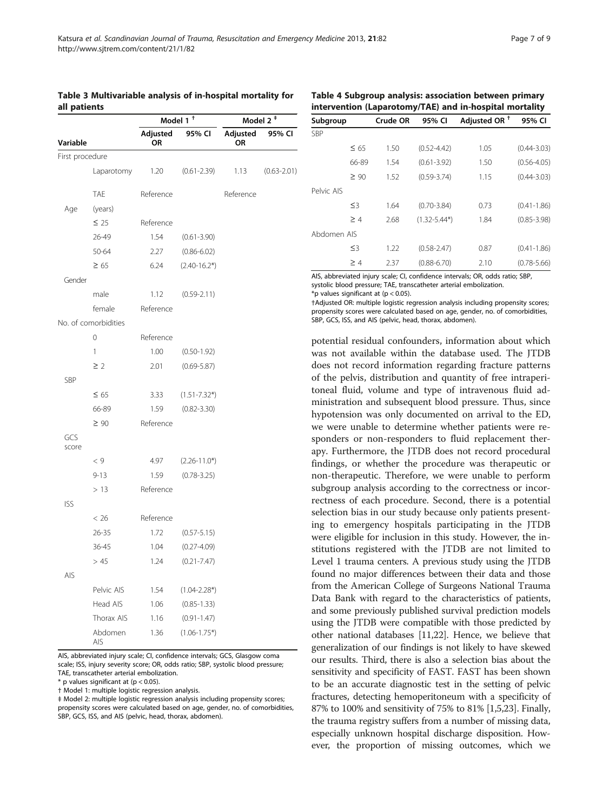| Page 7 of 9 |  |
|-------------|--|
|-------------|--|

|                 |                      | Model 1 $^{\dagger}$ |                  | Model 2 <sup>#</sup> |                 |
|-----------------|----------------------|----------------------|------------------|----------------------|-----------------|
| Variable        |                      | Adjusted<br>OR       | 95% CI           | Adjusted<br>OR       | 95% CI          |
| First procedure |                      |                      |                  |                      |                 |
|                 | Laparotomy           | 1.20                 | $(0.61 - 2.39)$  | 1.13                 | $(0.63 - 2.01)$ |
|                 | TAE                  | Reference            |                  | Reference            |                 |
| Age             | (years)              |                      |                  |                      |                 |
|                 | $\leq 25$            | Reference            |                  |                      |                 |
|                 | 26-49                | 1.54                 | $(0.61 - 3.90)$  |                      |                 |
|                 | 50-64                | 2.27                 | $(0.86 - 6.02)$  |                      |                 |
|                 | $\geq 65$            | 6.24                 | $(2.40 - 16.2*)$ |                      |                 |
| Gender          |                      |                      |                  |                      |                 |
|                 | male                 | 1.12                 | $(0.59 - 2.11)$  |                      |                 |
|                 | female               | Reference            |                  |                      |                 |
|                 | No. of comorbidities |                      |                  |                      |                 |
|                 | 0                    | Reference            |                  |                      |                 |
|                 | 1                    | 1.00                 | $(0.50-1.92)$    |                      |                 |
|                 | $\geq$ 2             | 2.01                 | $(0.69 - 5.87)$  |                      |                 |
| SBP             |                      |                      |                  |                      |                 |
|                 | $\leq 65$            | 3.33                 | $(1.51 - 7.32*)$ |                      |                 |
|                 | 66-89                | 1.59                 | $(0.82 - 3.30)$  |                      |                 |
|                 | $\geq 90$            | Reference            |                  |                      |                 |
| GCS<br>score    |                      |                      |                  |                      |                 |
|                 | < 9                  | 4.97                 | $(2.26 - 11.0*)$ |                      |                 |
|                 | $9 - 13$             | 1.59                 | $(0.78 - 3.25)$  |                      |                 |
|                 | >13                  | Reference            |                  |                      |                 |
| <b>ISS</b>      |                      |                      |                  |                      |                 |
|                 | < 26                 | Reference            |                  |                      |                 |
|                 | $26 - 35$            | 1.72                 | $(0.57 - 5.15)$  |                      |                 |
|                 | 36-45                | 1.04                 | $(0.27 - 4.09)$  |                      |                 |
|                 | > 45                 | 1.24                 | $(0.21 - 7.47)$  |                      |                 |
| AIS             |                      |                      |                  |                      |                 |
|                 | Pelvic AIS           | 1.54                 | $(1.04 - 2.28*)$ |                      |                 |
|                 | Head AIS             | 1.06                 | $(0.85 - 1.33)$  |                      |                 |
|                 | Thorax AIS           | 1.16                 | $(0.91 - 1.47)$  |                      |                 |
|                 | Abdomen<br>AIS       | 1.36                 | $(1.06 - 1.75*)$ |                      |                 |

#### <span id="page-6-0"></span>Table 3 Multivariable analysis of in-hospital mortality for all patients

AIS, abbreviated injury scale; CI, confidence intervals; GCS, Glasgow coma scale; ISS, injury severity score; OR, odds ratio; SBP, systolic blood pressure; TAE, transcatheter arterial embolization.

 $*$  p values significant at ( $p < 0.05$ ).

† Model 1: multiple logistic regression analysis.

‡ Model 2: multiple logistic regression analysis including propensity scores; propensity scores were calculated based on age, gender, no. of comorbidities, SBP, GCS, ISS, and AIS (pelvic, head, thorax, abdomen).

| Table 4 Subgroup analysis: association between primary  |
|---------------------------------------------------------|
| intervention (Laparotomy/TAE) and in-hospital mortality |
|                                                         |

| Subgroup    |           | Crude OR | 95% CI           | Adjusted OR $†$ | 95% CI          |
|-------------|-----------|----------|------------------|-----------------|-----------------|
| <b>SBP</b>  |           |          |                  |                 |                 |
|             | $\leq 65$ | 1.50     | $(0.52 - 4.42)$  | 1.05            | $(0.44 - 3.03)$ |
|             | 66-89     | 1.54     | $(0.61 - 3.92)$  | 1.50            | $(0.56 - 4.05)$ |
|             | $\geq 90$ | 1.52     | $(0.59 - 3.74)$  | 1.15            | $(0.44 - 3.03)$ |
| Pelvic AIS  |           |          |                  |                 |                 |
|             | $\leq$ 3  | 1.64     | $(0.70 - 3.84)$  | 0.73            | $(0.41 - 1.86)$ |
|             | $\geq 4$  | 2.68     | $(1.32 - 5.44*)$ | 1.84            | $(0.85 - 3.98)$ |
| Abdomen AIS |           |          |                  |                 |                 |
|             | $\leq$ 3  | 1.22     | $(0.58 - 2.47)$  | 0.87            | $(0.41 - 1.86)$ |
|             | $\geq 4$  | 2.37     | $(0.88 - 6.70)$  | 2.10            | $(0.78 - 5.66)$ |
|             |           |          |                  |                 |                 |

AIS, abbreviated injury scale; CI, confidence intervals; OR, odds ratio; SBP, systolic blood pressure; TAE, transcatheter arterial embolization.

 $*$ p values significant at (p < 0.05).

†Adjusted OR: multiple logistic regression analysis including propensity scores; propensity scores were calculated based on age, gender, no. of comorbidities, SBP, GCS, ISS, and AIS (pelvic, head, thorax, abdomen).

potential residual confounders, information about which was not available within the database used. The JTDB does not record information regarding fracture patterns of the pelvis, distribution and quantity of free intraperitoneal fluid, volume and type of intravenous fluid administration and subsequent blood pressure. Thus, since hypotension was only documented on arrival to the ED, we were unable to determine whether patients were responders or non-responders to fluid replacement therapy. Furthermore, the JTDB does not record procedural findings, or whether the procedure was therapeutic or non-therapeutic. Therefore, we were unable to perform subgroup analysis according to the correctness or incorrectness of each procedure. Second, there is a potential selection bias in our study because only patients presenting to emergency hospitals participating in the JTDB were eligible for inclusion in this study. However, the institutions registered with the JTDB are not limited to Level 1 trauma centers. A previous study using the JTDB found no major differences between their data and those from the American College of Surgeons National Trauma Data Bank with regard to the characteristics of patients, and some previously published survival prediction models using the JTDB were compatible with those predicted by other national databases [\[11,22\]](#page-8-0). Hence, we believe that generalization of our findings is not likely to have skewed our results. Third, there is also a selection bias about the sensitivity and specificity of FAST. FAST has been shown to be an accurate diagnostic test in the setting of pelvic fractures, detecting hemoperitoneum with a specificity of 87% to 100% and sensitivity of 75% to 81% [\[1](#page-7-0)[,5,23](#page-8-0)]. Finally, the trauma registry suffers from a number of missing data, especially unknown hospital discharge disposition. However, the proportion of missing outcomes, which we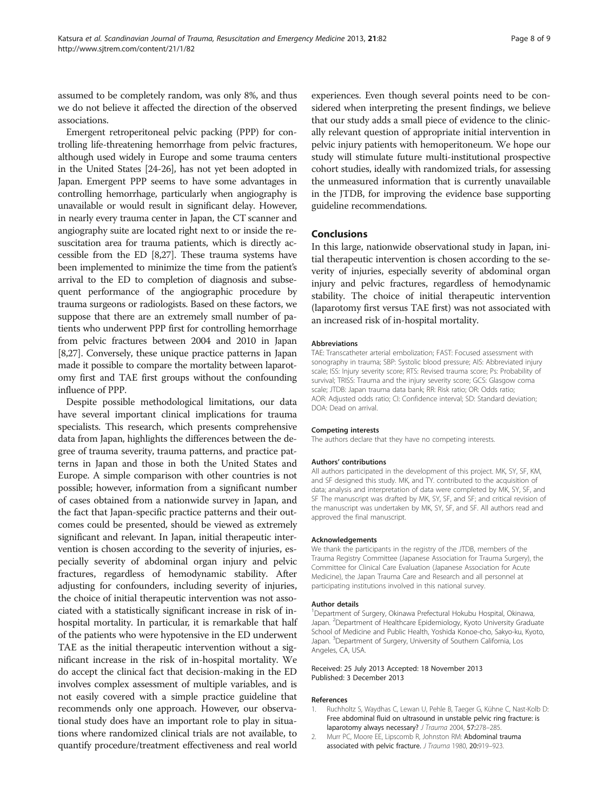<span id="page-7-0"></span>assumed to be completely random, was only 8%, and thus we do not believe it affected the direction of the observed associations.

Emergent retroperitoneal pelvic packing (PPP) for controlling life-threatening hemorrhage from pelvic fractures, although used widely in Europe and some trauma centers in the United States [[24](#page-8-0)-[26](#page-8-0)], has not yet been adopted in Japan. Emergent PPP seems to have some advantages in controlling hemorrhage, particularly when angiography is unavailable or would result in significant delay. However, in nearly every trauma center in Japan, the CT scanner and angiography suite are located right next to or inside the resuscitation area for trauma patients, which is directly accessible from the ED [\[8,27](#page-8-0)]. These trauma systems have been implemented to minimize the time from the patient's arrival to the ED to completion of diagnosis and subsequent performance of the angiographic procedure by trauma surgeons or radiologists. Based on these factors, we suppose that there are an extremely small number of patients who underwent PPP first for controlling hemorrhage from pelvic fractures between 2004 and 2010 in Japan [[8,27\]](#page-8-0). Conversely, these unique practice patterns in Japan made it possible to compare the mortality between laparotomy first and TAE first groups without the confounding influence of PPP.

Despite possible methodological limitations, our data have several important clinical implications for trauma specialists. This research, which presents comprehensive data from Japan, highlights the differences between the degree of trauma severity, trauma patterns, and practice patterns in Japan and those in both the United States and Europe. A simple comparison with other countries is not possible; however, information from a significant number of cases obtained from a nationwide survey in Japan, and the fact that Japan-specific practice patterns and their outcomes could be presented, should be viewed as extremely significant and relevant. In Japan, initial therapeutic intervention is chosen according to the severity of injuries, especially severity of abdominal organ injury and pelvic fractures, regardless of hemodynamic stability. After adjusting for confounders, including severity of injuries, the choice of initial therapeutic intervention was not associated with a statistically significant increase in risk of inhospital mortality. In particular, it is remarkable that half of the patients who were hypotensive in the ED underwent TAE as the initial therapeutic intervention without a significant increase in the risk of in-hospital mortality. We do accept the clinical fact that decision-making in the ED involves complex assessment of multiple variables, and is not easily covered with a simple practice guideline that recommends only one approach. However, our observational study does have an important role to play in situations where randomized clinical trials are not available, to quantify procedure/treatment effectiveness and real world

experiences. Even though several points need to be considered when interpreting the present findings, we believe that our study adds a small piece of evidence to the clinically relevant question of appropriate initial intervention in pelvic injury patients with hemoperitoneum. We hope our study will stimulate future multi-institutional prospective cohort studies, ideally with randomized trials, for assessing the unmeasured information that is currently unavailable in the JTDB, for improving the evidence base supporting guideline recommendations.

# Conclusions

In this large, nationwide observational study in Japan, initial therapeutic intervention is chosen according to the severity of injuries, especially severity of abdominal organ injury and pelvic fractures, regardless of hemodynamic stability. The choice of initial therapeutic intervention (laparotomy first versus TAE first) was not associated with an increased risk of in-hospital mortality.

#### Abbreviations

TAE: Transcatheter arterial embolization; FAST: Focused assessment with sonography in trauma; SBP: Systolic blood pressure; AIS: Abbreviated injury scale; ISS: Injury severity score; RTS: Revised trauma score; Ps: Probability of survival; TRISS: Trauma and the injury severity score; GCS: Glasgow coma scale; JTDB: Japan trauma data bank; RR: Risk ratio; OR: Odds ratio; AOR: Adjusted odds ratio; CI: Confidence interval; SD: Standard deviation; DOA: Dead on arrival.

#### Competing interests

The authors declare that they have no competing interests.

#### Authors' contributions

All authors participated in the development of this project. MK, SY, SF, KM, and SF designed this study. MK, and TY. contributed to the acquisition of data; analysis and interpretation of data were completed by MK, SY, SF, and SF The manuscript was drafted by MK, SY, SF, and SF; and critical revision of the manuscript was undertaken by MK, SY, SF, and SF. All authors read and approved the final manuscript.

#### Acknowledgements

We thank the participants in the registry of the JTDB, members of the Trauma Registry Committee (Japanese Association for Trauma Surgery), the Committee for Clinical Care Evaluation (Japanese Association for Acute Medicine), the Japan Trauma Care and Research and all personnel at participating institutions involved in this national survey.

#### Author details

<sup>1</sup>Department of Surgery, Okinawa Prefectural Hokubu Hospital, Okinawa, Japan. <sup>2</sup> Department of Healthcare Epidemiology, Kyoto University Graduate School of Medicine and Public Health, Yoshida Konoe-cho, Sakyo-ku, Kyoto, Japan. <sup>3</sup>Department of Surgery, University of Southern California, Los Angeles, CA, USA.

#### Received: 25 July 2013 Accepted: 18 November 2013 Published: 3 December 2013

#### References

- 1. Ruchholtz S, Waydhas C, Lewan U, Pehle B, Taeger G, Kühne C, Nast-Kolb D: Free abdominal fluid on ultrasound in unstable pelvic ring fracture: is laparotomy always necessary? J Trauma 2004, 57:278-285.
- 2. Murr PC, Moore EE, Lipscomb R, Johnston RM: Abdominal trauma associated with pelvic fracture. J Trauma 1980, 20:919–923.